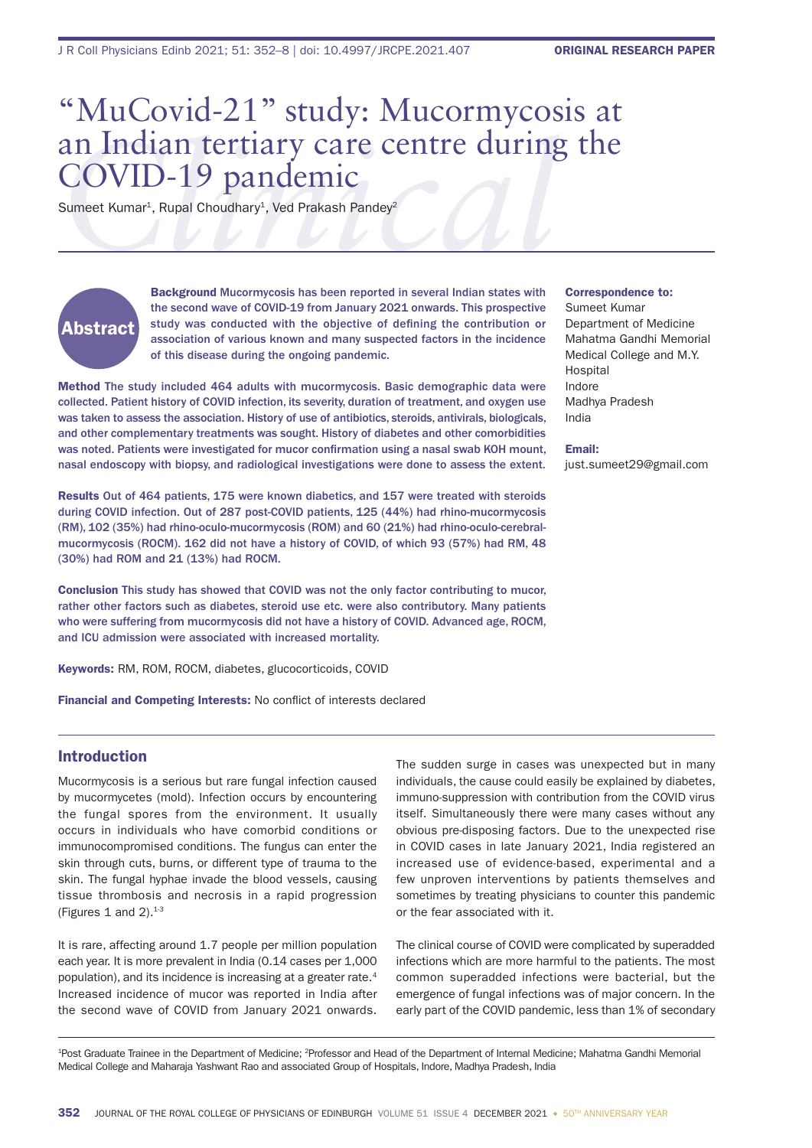# an Indian tertiary care centre during the<br>
COVID-19 pandemic<br>
Sumeet Kumar<sup>1</sup>, Rupal Choudhary<sup>1</sup>, Ved Prakash Pandey<sup>2</sup> "MuCovid-21" study: Mucormycosis at COVID-19 pandemic

Sumeet Kumar<sup>1</sup>, Rupal Choudhary<sup>1</sup>, Ved Prakash Pandey<sup>2</sup>

# Abstract

Background Mucormycosis has been reported in several Indian states with the second wave of COVID-19 from January 2021 onwards. This prospective study was conducted with the objective of defining the contribution or association of various known and many suspected factors in the incidence of this disease during the ongoing pandemic.

Method The study included 464 adults with mucormycosis. Basic demographic data were collected. Patient history of COVID infection, its severity, duration of treatment, and oxygen use was taken to assess the association. History of use of antibiotics, steroids, antivirals, biologicals, and other complementary treatments was sought. History of diabetes and other comorbidities was noted. Patients were investigated for mucor confirmation using a nasal swab KOH mount, nasal endoscopy with biopsy, and radiological investigations were done to assess the extent.

Results Out of 464 patients, 175 were known diabetics, and 157 were treated with steroids during COVID infection. Out of 287 post-COVID patients, 125 (44%) had rhino-mucormycosis (RM), 102 (35%) had rhino-oculo-mucormycosis (ROM) and 60 (21%) had rhino-oculo-cerebralmucormycosis (ROCM). 162 did not have a history of COVID, of which 93 (57%) had RM, 48 (30%) had ROM and 21 (13%) had ROCM.

Conclusion This study has showed that COVID was not the only factor contributing to mucor, rather other factors such as diabetes, steroid use etc. were also contributory. Many patients who were suffering from mucormycosis did not have a history of COVID. Advanced age, ROCM, and ICU admission were associated with increased mortality.

Keywords: RM, ROM, ROCM, diabetes, glucocorticoids, COVID

Financial and Competing Interests: No conflict of interests declared

# Introduction

Mucormycosis is a serious but rare fungal infection caused by mucormycetes (mold). Infection occurs by encountering the fungal spores from the environment. It usually occurs in individuals who have comorbid conditions or immunocompromised conditions. The fungus can enter the skin through cuts, burns, or different type of trauma to the skin. The fungal hyphae invade the blood vessels, causing tissue thrombosis and necrosis in a rapid progression (Figures 1 and 2). $1-3$ 

It is rare, affecting around 1.7 people per million population each year. It is more prevalent in India (0.14 cases per 1,000 population), and its incidence is increasing at a greater rate.4 Increased incidence of mucor was reported in India after the second wave of COVID from January 2021 onwards.

The sudden surge in cases was unexpected but in many individuals, the cause could easily be explained by diabetes, immuno-suppression with contribution from the COVID virus itself. Simultaneously there were many cases without any obvious pre-disposing factors. Due to the unexpected rise in COVID cases in late January 2021, India registered an increased use of evidence-based, experimental and a few unproven interventions by patients themselves and sometimes by treating physicians to counter this pandemic or the fear associated with it.

The clinical course of COVID were complicated by superadded infections which are more harmful to the patients. The most common superadded infections were bacterial, but the emergence of fungal infections was of major concern. In the early part of the COVID pandemic, less than 1% of secondary

<sup>1</sup>Post Graduate Trainee in the Department of Medicine; <sup>2</sup>Professor and Head of the Department of Internal Medicine; Mahatma Gandhi Memorial Medical College and Maharaja Yashwant Rao and associated Group of Hospitals, Indore, Madhya Pradesh, India

#### Correspondence to:

Sumeet Kumar Department of Medicine Mahatma Gandhi Memorial Medical College and M.Y. Hospital Indore Madhya Pradesh India

Email:

just.sumeet29@gmail.com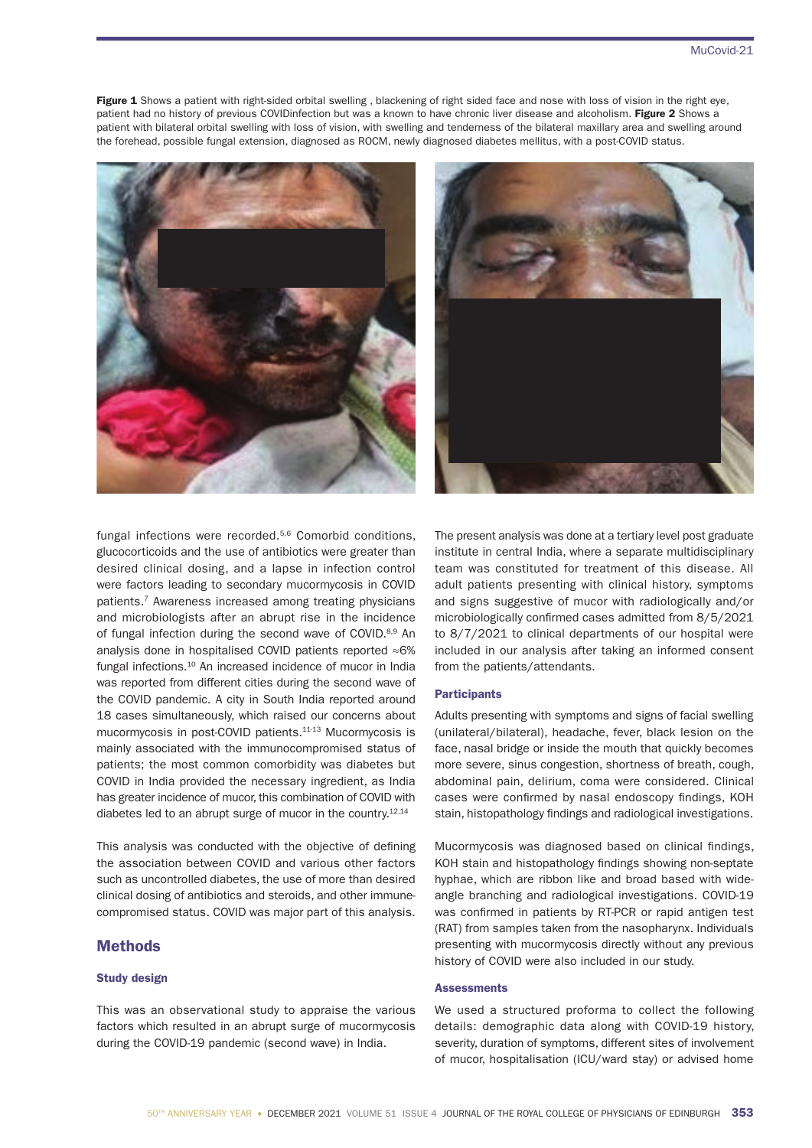Figure 1 Shows a patient with right-sided orbital swelling, blackening of right sided face and nose with loss of vision in the right eye, patient had no history of previous COVIDinfection but was a known to have chronic liver disease and alcoholism. Figure 2 Shows a patient with bilateral orbital swelling with loss of vision, with swelling and tenderness of the bilateral maxillary area and swelling around the forehead, possible fungal extension, diagnosed as ROCM, newly diagnosed diabetes mellitus, with a post-COVID status.





fungal infections were recorded.5,6 Comorbid conditions, glucocorticoids and the use of antibiotics were greater than desired clinical dosing, and a lapse in infection control were factors leading to secondary mucormycosis in COVID patients.7 Awareness increased among treating physicians and microbiologists after an abrupt rise in the incidence of fungal infection during the second wave of COVID.<sup>8,9</sup> An analysis done in hospitalised COVID patients reported ≈6% fungal infections.10 An increased incidence of mucor in India was reported from different cities during the second wave of the COVID pandemic. A city in South India reported around 18 cases simultaneously, which raised our concerns about mucormycosis in post-COVID patients.11-13 Mucormycosis is mainly associated with the immunocompromised status of patients; the most common comorbidity was diabetes but COVID in India provided the necessary ingredient, as India has greater incidence of mucor, this combination of COVID with diabetes led to an abrupt surge of mucor in the country.<sup>12,14</sup>

This analysis was conducted with the objective of defining the association between COVID and various other factors such as uncontrolled diabetes, the use of more than desired clinical dosing of antibiotics and steroids, and other immunecompromised status. COVID was major part of this analysis.

# Methods

## Study design

This was an observational study to appraise the various factors which resulted in an abrupt surge of mucormycosis during the COVID-19 pandemic (second wave) in India.

The present analysis was done at a tertiary level post graduate institute in central India, where a separate multidisciplinary team was constituted for treatment of this disease. All adult patients presenting with clinical history, symptoms and signs suggestive of mucor with radiologically and/or microbiologically confirmed cases admitted from 8/5/2021 to 8/7/2021 to clinical departments of our hospital were included in our analysis after taking an informed consent from the patients/attendants.

# **Participants**

Adults presenting with symptoms and signs of facial swelling (unilateral/bilateral), headache, fever, black lesion on the face, nasal bridge or inside the mouth that quickly becomes more severe, sinus congestion, shortness of breath, cough, abdominal pain, delirium, coma were considered. Clinical cases were confirmed by nasal endoscopy findings, KOH stain, histopathology findings and radiological investigations.

Mucormycosis was diagnosed based on clinical findings, KOH stain and histopathology findings showing non-septate hyphae, which are ribbon like and broad based with wideangle branching and radiological investigations. COVID-19 was confirmed in patients by RT-PCR or rapid antigen test (RAT) from samples taken from the nasopharynx. Individuals presenting with mucormycosis directly without any previous history of COVID were also included in our study.

# **Assessments**

We used a structured proforma to collect the following details: demographic data along with COVID-19 history, severity, duration of symptoms, different sites of involvement of mucor, hospitalisation (ICU/ward stay) or advised home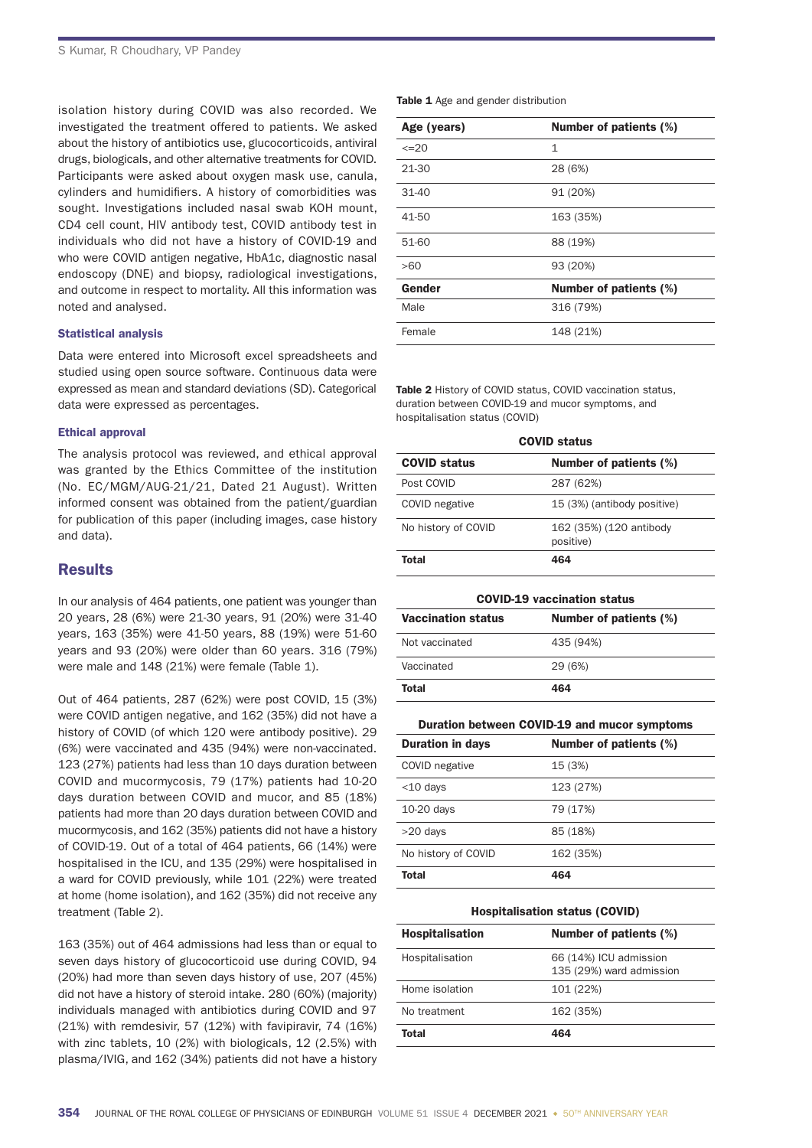isolation history during COVID was also recorded. We investigated the treatment offered to patients. We asked about the history of antibiotics use, glucocorticoids, antiviral drugs, biologicals, and other alternative treatments for COVID. Participants were asked about oxygen mask use, canula, cylinders and humidifiers. A history of comorbidities was sought. Investigations included nasal swab KOH mount, CD4 cell count, HIV antibody test, COVID antibody test in individuals who did not have a history of COVID-19 and who were COVID antigen negative, HbA1c, diagnostic nasal endoscopy (DNE) and biopsy, radiological investigations, and outcome in respect to mortality. All this information was noted and analysed.

# Statistical analysis

Data were entered into Microsoft excel spreadsheets and studied using open source software. Continuous data were expressed as mean and standard deviations (SD). Categorical data were expressed as percentages.

## Ethical approval

The analysis protocol was reviewed, and ethical approval was granted by the Ethics Committee of the institution (No. EC/MGM/AUG-21/21, Dated 21 August). Written informed consent was obtained from the patient/guardian for publication of this paper (including images, case history and data).

# **Results**

In our analysis of 464 patients, one patient was younger than 20 years, 28 (6%) were 21-30 years, 91 (20%) were 31-40 years, 163 (35%) were 41-50 years, 88 (19%) were 51-60 years and 93 (20%) were older than 60 years. 316 (79%) were male and 148 (21%) were female (Table 1).

Out of 464 patients, 287 (62%) were post COVID, 15 (3%) were COVID antigen negative, and 162 (35%) did not have a history of COVID (of which 120 were antibody positive). 29 (6%) were vaccinated and 435 (94%) were non-vaccinated. 123 (27%) patients had less than 10 days duration between COVID and mucormycosis, 79 (17%) patients had 10-20 days duration between COVID and mucor, and 85 (18%) patients had more than 20 days duration between COVID and mucormycosis, and 162 (35%) patients did not have a history of COVID-19. Out of a total of 464 patients, 66 (14%) were hospitalised in the ICU, and 135 (29%) were hospitalised in a ward for COVID previously, while 101 (22%) were treated at home (home isolation), and 162 (35%) did not receive any treatment (Table 2).

163 (35%) out of 464 admissions had less than or equal to seven days history of glucocorticoid use during COVID, 94 (20%) had more than seven days history of use, 207 (45%) did not have a history of steroid intake. 280 (60%) (majority) individuals managed with antibiotics during COVID and 97 (21%) with remdesivir, 57 (12%) with favipiravir, 74 (16%) with zinc tablets, 10 (2%) with biologicals, 12 (2.5%) with plasma/IVIG, and 162 (34%) patients did not have a history

|  |  |  |  | <b>Table 1</b> Age and gender distribution |
|--|--|--|--|--------------------------------------------|
|--|--|--|--|--------------------------------------------|

| Age (years) | Number of patients (%)        |
|-------------|-------------------------------|
| $\leq$ 20   | 1                             |
| 21-30       | 28 (6%)                       |
| $31 - 40$   | 91 (20%)                      |
| 41-50       | 163 (35%)                     |
| 51-60       | 88 (19%)                      |
| >60         | 93 (20%)                      |
| Gender      | <b>Number of patients (%)</b> |
| Male        | 316 (79%)                     |
| Female      | 148 (21%)                     |

Table 2 History of COVID status, COVID vaccination status, duration between COVID-19 and mucor symptoms, and hospitalisation status (COVID)

| <b>COVID status</b> |                                      |  |  |
|---------------------|--------------------------------------|--|--|
| <b>COVID status</b> | <b>Number of patients (%)</b>        |  |  |
| Post COVID          | 287 (62%)                            |  |  |
| COVID negative      | 15 (3%) (antibody positive)          |  |  |
| No history of COVID | 162 (35%) (120 antibody<br>positive) |  |  |
| Total               | 464                                  |  |  |

| <b>COVID-19 vaccination status</b>                  |           |  |  |
|-----------------------------------------------------|-----------|--|--|
| <b>Vaccination status</b><br>Number of patients (%) |           |  |  |
| Not vaccinated                                      | 435 (94%) |  |  |
| Vaccinated                                          | 29 (6%)   |  |  |
| Total<br>464                                        |           |  |  |

#### Duration between COVID-19 and mucor symptoms

| <b>Duration in days</b> | Number of patients (%) |
|-------------------------|------------------------|
| COVID negative          | 15 (3%)                |
| $<$ 10 days             | 123 (27%)              |
| $10-20$ days            | 79 (17%)               |
| $>20$ days              | 85 (18%)               |
| No history of COVID     | 162 (35%)              |
| Total                   | 464                    |

#### Hospitalisation status (COVID)

| <b>Hospitalisation</b> | Number of patients (%)                             |
|------------------------|----------------------------------------------------|
| Hospitalisation        | 66 (14%) ICU admission<br>135 (29%) ward admission |
| Home isolation         | 101 (22%)                                          |
| No treatment           | 162 (35%)                                          |
| Total                  | 464                                                |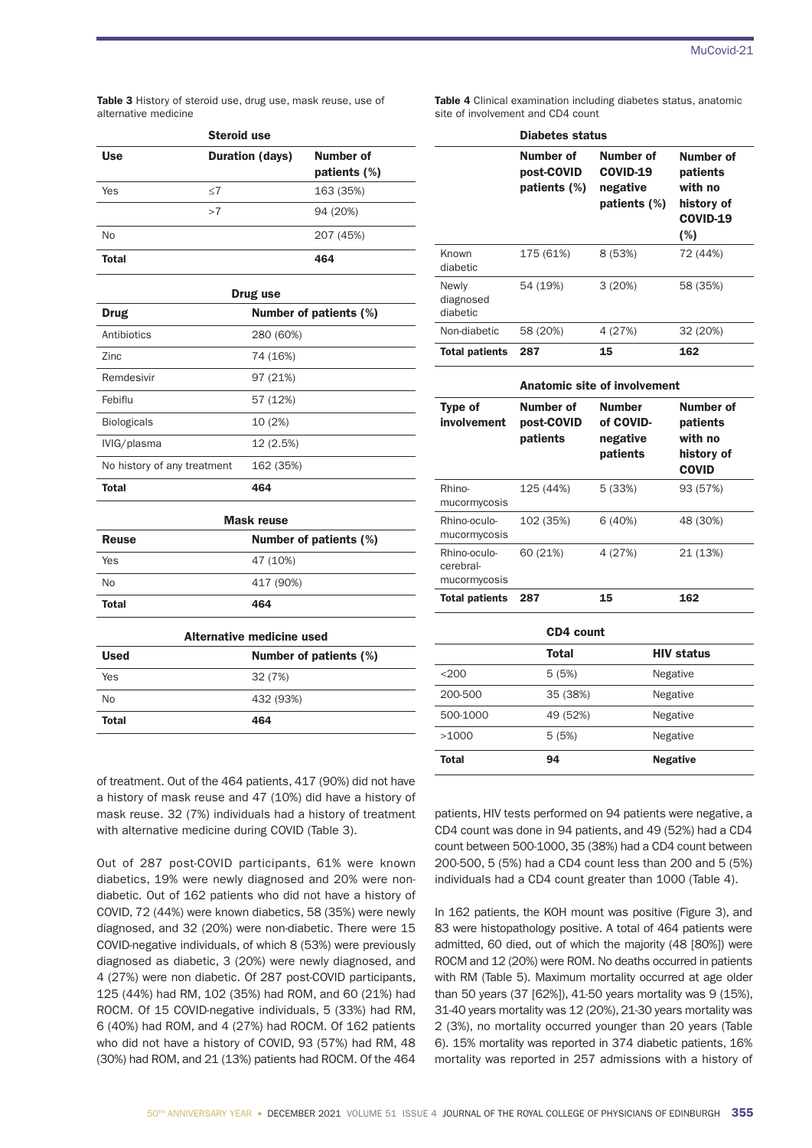Table 3 History of steroid use, drug use, mask reuse, use of alternative medicine

|              | <b>Steroid use</b>     |                           |  |  |
|--------------|------------------------|---------------------------|--|--|
| <b>Use</b>   | <b>Duration (days)</b> | Number of<br>patients (%) |  |  |
| Yes          | $<$ 7                  | 163 (35%)                 |  |  |
|              | >7                     | 94 (20%)                  |  |  |
| <b>No</b>    |                        | 207 (45%)                 |  |  |
| <b>Total</b> |                        | 464                       |  |  |

| Drug use                    |                        |  |  |  |
|-----------------------------|------------------------|--|--|--|
| Drug                        | Number of patients (%) |  |  |  |
| Antibiotics                 | 280 (60%)              |  |  |  |
| Zinc                        | 74 (16%)               |  |  |  |
| Remdesivir                  | 97 (21%)               |  |  |  |
| Febiflu                     | 57 (12%)               |  |  |  |
| <b>Biologicals</b>          | 10 (2%)                |  |  |  |
| IVIG/plasma                 | 12 (2.5%)              |  |  |  |
| No history of any treatment | 162 (35%)              |  |  |  |
| <b>Total</b>                | 464                    |  |  |  |

| <b>Mask reuse</b> |                        |  |  |
|-------------------|------------------------|--|--|
| <b>Reuse</b>      | Number of patients (%) |  |  |
| Yes               | 47 (10%)               |  |  |
| No                | 417 (90%)              |  |  |
| <b>Total</b>      | 464                    |  |  |

| Alternative medicine used             |           |  |
|---------------------------------------|-----------|--|
| Number of patients (%)<br><b>Used</b> |           |  |
| Yes                                   | 32 (7%)   |  |
| N <sub>0</sub>                        | 432 (93%) |  |
| Total                                 | 464       |  |

|  | <b>Table 4</b> Clinical examination including diabetes status, anatomic |  |  |
|--|-------------------------------------------------------------------------|--|--|
|  | site of involvement and CD4 count                                       |  |  |

|                                | Diabetes status                            |                                                          |                                                                          |  |
|--------------------------------|--------------------------------------------|----------------------------------------------------------|--------------------------------------------------------------------------|--|
|                                | Number of<br>post-COVID<br>patients $(\%)$ | Number of<br><b>COVID-19</b><br>negative<br>patients (%) | Number of<br>patients<br>with no<br>history of<br><b>COVID-19</b><br>(%) |  |
| Known<br>diabetic              | 175 (61%)                                  | 8 (53%)                                                  | 72 (44%)                                                                 |  |
| Newly<br>diagnosed<br>diabetic | 54 (19%)                                   | 3(20%)                                                   | 58 (35%)                                                                 |  |
| Non-diabetic                   | 58 (20%)                                   | 4 (27%)                                                  | 32 (20%)                                                                 |  |
| Total patients                 | 287                                        | 15                                                       | 162                                                                      |  |

| <b>Anatomic site of involvement</b>       |                                     |                                                    |                                                                |  |
|-------------------------------------------|-------------------------------------|----------------------------------------------------|----------------------------------------------------------------|--|
| Type of<br>involvement                    | Number of<br>post-COVID<br>patients | <b>Number</b><br>of COVID-<br>negative<br>patients | Number of<br>patients<br>with no<br>history of<br><b>COVID</b> |  |
| Rhino-<br>mucormycosis                    | 125 (44%)                           | 5 (33%)                                            | 93 (57%)                                                       |  |
| Rhino-oculo-<br>mucormycosis              | 102 (35%)                           | 6(40%)                                             | 48 (30%)                                                       |  |
| Rhino-oculo-<br>cerebral-<br>mucormycosis | 60 (21%)                            | 4 (27%)                                            | 21 (13%)                                                       |  |
| <b>Total patients</b>                     | 287                                 | 15                                                 | 162                                                            |  |
|                                           |                                     |                                                    |                                                                |  |

|          | CD4 count |                   |
|----------|-----------|-------------------|
|          | Total     | <b>HIV status</b> |
| $<$ 200  | 5 (5%)    | Negative          |
| 200-500  | 35 (38%)  | Negative          |
| 500-1000 | 49 (52%)  | Negative          |
| >1000    | 5 (5%)    | Negative          |
| Total    | 94        | <b>Negative</b>   |

of treatment. Out of the 464 patients, 417 (90%) did not have a history of mask reuse and 47 (10%) did have a history of mask reuse. 32 (7%) individuals had a history of treatment with alternative medicine during COVID (Table 3).

Out of 287 post-COVID participants, 61% were known diabetics, 19% were newly diagnosed and 20% were nondiabetic. Out of 162 patients who did not have a history of COVID, 72 (44%) were known diabetics, 58 (35%) were newly diagnosed, and 32 (20%) were non-diabetic. There were 15 COVID-negative individuals, of which 8 (53%) were previously diagnosed as diabetic, 3 (20%) were newly diagnosed, and 4 (27%) were non diabetic. Of 287 post-COVID participants, 125 (44%) had RM, 102 (35%) had ROM, and 60 (21%) had ROCM. Of 15 COVID-negative individuals, 5 (33%) had RM, 6 (40%) had ROM, and 4 (27%) had ROCM. Of 162 patients who did not have a history of COVID, 93 (57%) had RM, 48 (30%) had ROM, and 21 (13%) patients had ROCM. Of the 464

patients, HIV tests performed on 94 patients were negative, a CD4 count was done in 94 patients, and 49 (52%) had a CD4 count between 500-1000, 35 (38%) had a CD4 count between 200-500, 5 (5%) had a CD4 count less than 200 and 5 (5%) individuals had a CD4 count greater than 1000 (Table 4).

In 162 patients, the KOH mount was positive (Figure 3), and 83 were histopathology positive. A total of 464 patients were admitted, 60 died, out of which the majority (48 [80%]) were ROCM and 12 (20%) were ROM. No deaths occurred in patients with RM (Table 5). Maximum mortality occurred at age older than 50 years (37 [62%]), 41-50 years mortality was 9 (15%), 31-40 years mortality was 12 (20%), 21-30 years mortality was 2 (3%), no mortality occurred younger than 20 years (Table 6). 15% mortality was reported in 374 diabetic patients, 16% mortality was reported in 257 admissions with a history of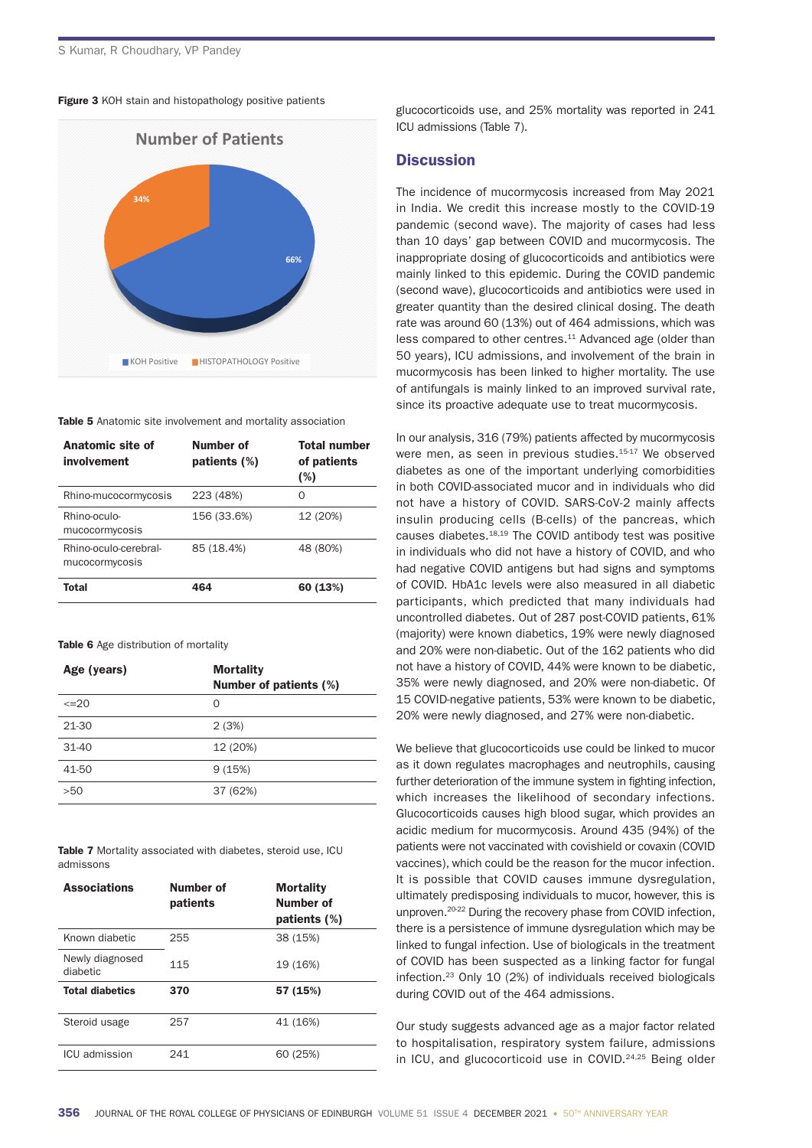Figure 3 KOH stain and histopathology positive patients



Table 5 Anatomic site involvement and mortality association

| Anatomic site of<br>involvement         | Number of<br>patients (%) | <b>Total number</b><br>of patients<br>(%) |
|-----------------------------------------|---------------------------|-------------------------------------------|
| Rhino-mucocormycosis                    | 223 (48%)                 | Ω                                         |
| Rhino-oculo-<br>mucocormycosis          | 156 (33.6%)               | 12 (20%)                                  |
| Rhino-oculo-cerebral-<br>mucocormycosis | 85 (18.4%)                | 48 (80%)                                  |
| Total                                   | 464                       | 60 (13%)                                  |

Table 6 Age distribution of mortality

| Age (years) | <b>Mortality</b><br>Number of patients (%) |
|-------------|--------------------------------------------|
| $\leq$ 20   | $\Omega$                                   |
| 21-30       | 2(3%)                                      |
| $31 - 40$   | 12 (20%)                                   |
| 41-50       | 9(15%)                                     |
| >50         | 37 (62%)                                   |

Table 7 Mortality associated with diabetes, steroid use, ICU admissons

| <b>Associations</b>         | Number of<br>patients | <b>Mortality</b><br>Number of<br>patients (%) |
|-----------------------------|-----------------------|-----------------------------------------------|
| Known diabetic              | 255                   | 38 (15%)                                      |
| Newly diagnosed<br>diabetic | 115                   | 19 (16%)                                      |
| <b>Total diabetics</b>      | 370                   | 57 (15%)                                      |
| Steroid usage               | 257                   | 41 (16%)                                      |
| ICU admission               | 241                   | 60 (25%)                                      |

glucocorticoids use, and 25% mortality was reported in 241 ICU admissions (Table 7).

# **Discussion**

The incidence of mucormycosis increased from May 2021 in India. We credit this increase mostly to the COVID-19 pandemic (second wave). The majority of cases had less than 10 days' gap between COVID and mucormycosis. The inappropriate dosing of glucocorticoids and antibiotics were mainly linked to this epidemic. During the COVID pandemic (second wave), glucocorticoids and antibiotics were used in greater quantity than the desired clinical dosing. The death rate was around 60 (13%) out of 464 admissions, which was less compared to other centres.<sup>11</sup> Advanced age (older than 50 years), ICU admissions, and involvement of the brain in mucormycosis has been linked to higher mortality. The use of antifungals is mainly linked to an improved survival rate, since its proactive adequate use to treat mucormycosis.

In our analysis, 316 (79%) patients affected by mucormycosis were men, as seen in previous studies.<sup>15-17</sup> We observed diabetes as one of the important underlying comorbidities in both COVID-associated mucor and in individuals who did not have a history of COVID. SARS-CoV-2 mainly affects insulin producing cells (B-cells) of the pancreas, which causes diabetes.18,19 The COVID antibody test was positive in individuals who did not have a history of COVID, and who had negative COVID antigens but had signs and symptoms of COVID. HbA1c levels were also measured in all diabetic participants, which predicted that many individuals had uncontrolled diabetes. Out of 287 post-COVID patients, 61% (majority) were known diabetics, 19% were newly diagnosed and 20% were non-diabetic. Out of the 162 patients who did not have a history of COVID, 44% were known to be diabetic, 35% were newly diagnosed, and 20% were non-diabetic. Of 15 COVID-negative patients, 53% were known to be diabetic, 20% were newly diagnosed, and 27% were non-diabetic.

We believe that glucocorticoids use could be linked to mucor as it down regulates macrophages and neutrophils, causing further deterioration of the immune system in fighting infection. which increases the likelihood of secondary infections. Glucocorticoids causes high blood sugar, which provides an acidic medium for mucormycosis. Around 435 (94%) of the patients were not vaccinated with covishield or covaxin (COVID vaccines), which could be the reason for the mucor infection. It is possible that COVID causes immune dysregulation, ultimately predisposing individuals to mucor, however, this is unproven.20-22 During the recovery phase from COVID infection, there is a persistence of immune dysregulation which may be linked to fungal infection. Use of biologicals in the treatment of COVID has been suspected as a linking factor for fungal infection.23 Only 10 (2%) of individuals received biologicals during COVID out of the 464 admissions.

Our study suggests advanced age as a major factor related to hospitalisation, respiratory system failure, admissions in ICU, and glucocorticoid use in COVID.<sup>24,25</sup> Being older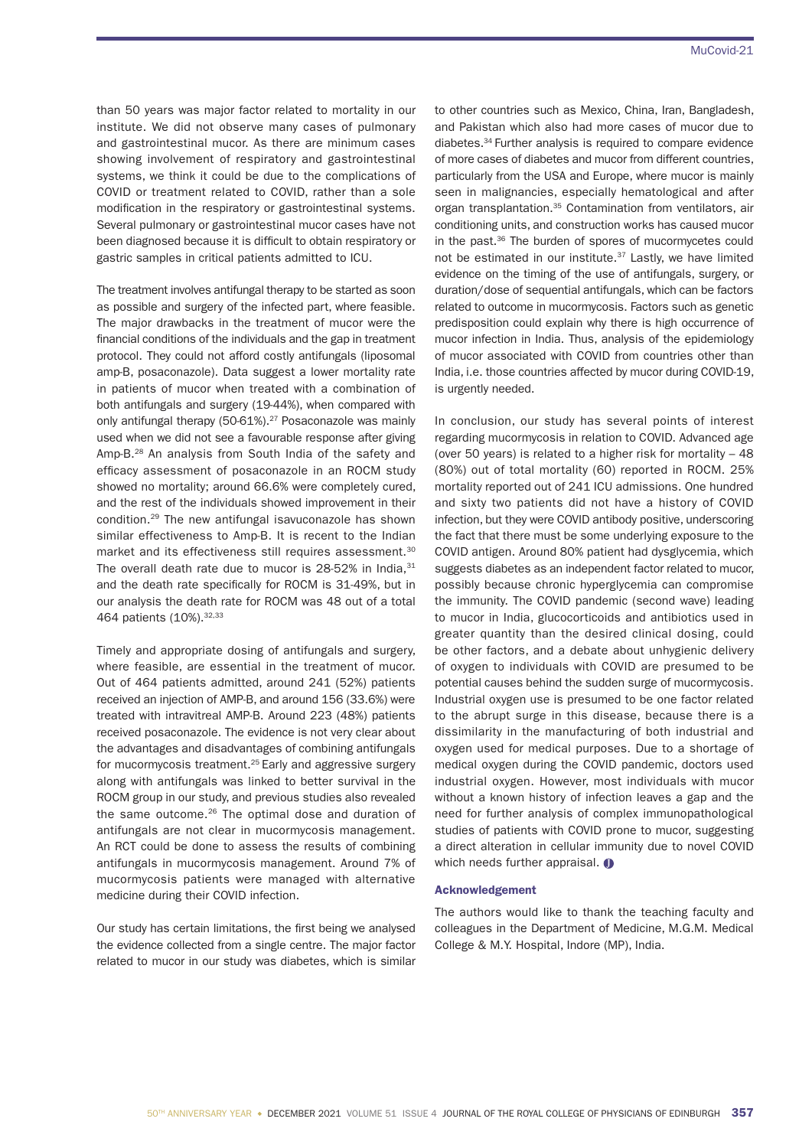than 50 years was major factor related to mortality in our institute. We did not observe many cases of pulmonary and gastrointestinal mucor. As there are minimum cases showing involvement of respiratory and gastrointestinal systems, we think it could be due to the complications of COVID or treatment related to COVID, rather than a sole modification in the respiratory or gastrointestinal systems. Several pulmonary or gastrointestinal mucor cases have not been diagnosed because it is difficult to obtain respiratory or gastric samples in critical patients admitted to ICU.

The treatment involves antifungal therapy to be started as soon as possible and surgery of the infected part, where feasible. The major drawbacks in the treatment of mucor were the financial conditions of the individuals and the gap in treatment protocol. They could not afford costly antifungals (liposomal amp-B, posaconazole). Data suggest a lower mortality rate in patients of mucor when treated with a combination of both antifungals and surgery (19-44%), when compared with only antifungal therapy (50-61%).<sup>27</sup> Posaconazole was mainly used when we did not see a favourable response after giving Amp-B.<sup>28</sup> An analysis from South India of the safety and efficacy assessment of posaconazole in an ROCM study showed no mortality; around 66.6% were completely cured, and the rest of the individuals showed improvement in their condition.29 The new antifungal isavuconazole has shown similar effectiveness to Amp-B. It is recent to the Indian market and its effectiveness still requires assessment.<sup>30</sup> The overall death rate due to mucor is  $28-52\%$  in India,  $31$ and the death rate specifically for ROCM is 31-49%, but in our analysis the death rate for ROCM was 48 out of a total 464 patients (10%).32,33

Timely and appropriate dosing of antifungals and surgery, where feasible, are essential in the treatment of mucor. Out of 464 patients admitted, around 241 (52%) patients received an injection of AMP-B, and around 156 (33.6%) were treated with intravitreal AMP-B. Around 223 (48%) patients received posaconazole. The evidence is not very clear about the advantages and disadvantages of combining antifungals for mucormycosis treatment.<sup>25</sup> Early and aggressive surgery along with antifungals was linked to better survival in the ROCM group in our study, and previous studies also revealed the same outcome.26 The optimal dose and duration of antifungals are not clear in mucormycosis management. An RCT could be done to assess the results of combining antifungals in mucormycosis management. Around 7% of mucormycosis patients were managed with alternative medicine during their COVID infection.

Our study has certain limitations, the first being we analysed the evidence collected from a single centre. The major factor related to mucor in our study was diabetes, which is similar to other countries such as Mexico, China, Iran, Bangladesh, and Pakistan which also had more cases of mucor due to diabetes.34 Further analysis is required to compare evidence of more cases of diabetes and mucor from different countries, particularly from the USA and Europe, where mucor is mainly seen in malignancies, especially hematological and after organ transplantation.<sup>35</sup> Contamination from ventilators, air conditioning units, and construction works has caused mucor in the past.36 The burden of spores of mucormycetes could not be estimated in our institute.<sup>37</sup> Lastly, we have limited evidence on the timing of the use of antifungals, surgery, or duration/dose of sequential antifungals, which can be factors related to outcome in mucormycosis. Factors such as genetic predisposition could explain why there is high occurrence of mucor infection in India. Thus, analysis of the epidemiology of mucor associated with COVID from countries other than India, i.e. those countries affected by mucor during COVID-19, is urgently needed.

In conclusion, our study has several points of interest regarding mucormycosis in relation to COVID. Advanced age (over 50 years) is related to a higher risk for mortality – 48 (80%) out of total mortality (60) reported in ROCM. 25% mortality reported out of 241 ICU admissions. One hundred and sixty two patients did not have a history of COVID infection, but they were COVID antibody positive, underscoring the fact that there must be some underlying exposure to the COVID antigen. Around 80% patient had dysglycemia, which suggests diabetes as an independent factor related to mucor, possibly because chronic hyperglycemia can compromise the immunity. The COVID pandemic (second wave) leading to mucor in India, glucocorticoids and antibiotics used in greater quantity than the desired clinical dosing, could be other factors, and a debate about unhygienic delivery of oxygen to individuals with COVID are presumed to be potential causes behind the sudden surge of mucormycosis. Industrial oxygen use is presumed to be one factor related to the abrupt surge in this disease, because there is a dissimilarity in the manufacturing of both industrial and oxygen used for medical purposes. Due to a shortage of medical oxygen during the COVID pandemic, doctors used industrial oxygen. However, most individuals with mucor without a known history of infection leaves a gap and the need for further analysis of complex immunopathological studies of patients with COVID prone to mucor, suggesting a direct alteration in cellular immunity due to novel COVID which needs further appraisal.  $\bullet$ 

## Acknowledgement

The authors would like to thank the teaching faculty and colleagues in the Department of Medicine, M.G.M. Medical College & M.Y. Hospital, Indore (MP), India.